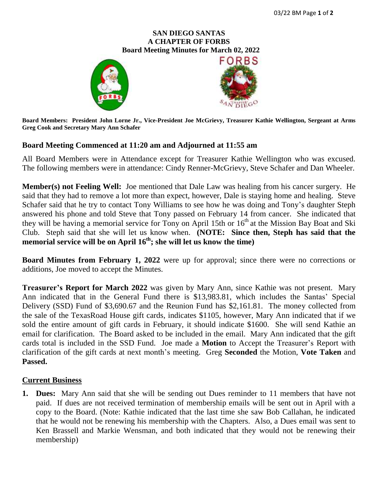## **SAN DIEGO SANTAS A CHAPTER OF FORBS**  **Board Meeting Minutes for March 02, 2022**





**Board Members: President John Lorne Jr., Vice-President Joe McGrievy, Treasurer Kathie Wellington, Sergeant at Arms Greg Cook and Secretary Mary Ann Schafer**

## **Board Meeting Commenced at 11:20 am and Adjourned at 11:55 am**

All Board Members were in Attendance except for Treasurer Kathie Wellington who was excused. The following members were in attendance: Cindy Renner-McGrievy, Steve Schafer and Dan Wheeler.

**Member(s) not Feeling Well:** Joe mentioned that Dale Law was healing from his cancer surgery. He said that they had to remove a lot more than expect, however, Dale is staying home and healing. Steve Schafer said that he try to contact Tony Williams to see how he was doing and Tony's daughter Steph answered his phone and told Steve that Tony passed on February 14 from cancer. She indicated that they will be having a memorial service for Tony on April 15th or 16<sup>th</sup> at the Mission Bay Boat and Ski Club. Steph said that she will let us know when. **(NOTE: Since then, Steph has said that the memorial service will be on April 16th; she will let us know the time)**

**Board Minutes from February 1, 2022** were up for approval; since there were no corrections or additions, Joe moved to accept the Minutes.

**Treasurer's Report for March 2022** was given by Mary Ann, since Kathie was not present. Mary Ann indicated that in the General Fund there is \$13,983.81, which includes the Santas' Special Delivery (SSD) Fund of \$3,690.67 and the Reunion Fund has \$2,161.81. The money collected from the sale of the TexasRoad House gift cards, indicates \$1105, however, Mary Ann indicated that if we sold the entire amount of gift cards in February, it should indicate \$1600. She will send Kathie an email for clarification. The Board asked to be included in the email. Mary Ann indicated that the gift cards total is included in the SSD Fund. Joe made a **Motion** to Accept the Treasurer's Report with clarification of the gift cards at next month's meeting. Greg **Seconded** the Motion, **Vote Taken** and **Passed.**

## **Current Business**

**1. Dues:** Mary Ann said that she will be sending out Dues reminder to 11 members that have not paid. If dues are not received termination of membership emails will be sent out in April with a copy to the Board. (Note: Kathie indicated that the last time she saw Bob Callahan, he indicated that he would not be renewing his membership with the Chapters. Also, a Dues email was sent to Ken Brassell and Markie Wensman, and both indicated that they would not be renewing their membership)